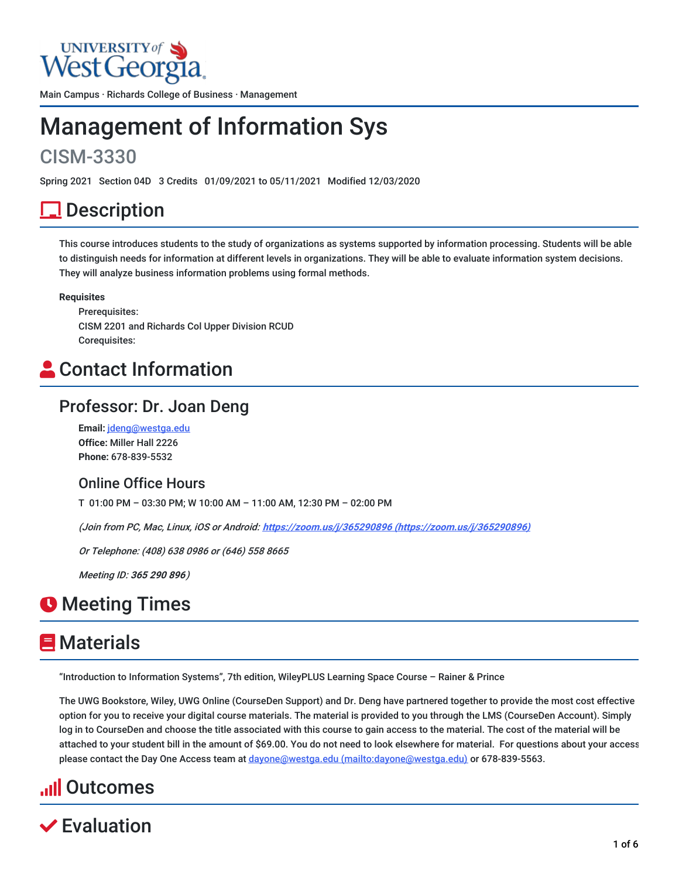# UNIVERSITY of

Main Campus · Richards College of Business · Management

# Management of Information Sys

# CISM-3330

Spring 2021 Section 04D 3 Credits 01/09/2021 to 05/11/2021 Modified 12/03/2020

# <u>l</u> Description

This course introduces students to the study of organizations as systems supported by information processing. Students will be able to distinguish needs for information at different levels in organizations. They will be able to evaluate information system decisions. They will analyze business information problems using formal methods.

#### **Requisites**

Prerequisites: CISM 2201 and Richards Col Upper Division RCUD Corequisites:

# **Contact Information**

### Professor: Dr. Joan Deng

**Email:** [jdeng@westga.edu](mailto:jdeng@westga.edu) **Office:** Miller Hall 2226 **Phone:** 678-839-5532

### Online Office Hours

T 01:00 PM – 03:30 PM; W 10:00 AM – 11:00 AM, 12:30 PM – 02:00 PM

(Join from PC, Mac, Linux, iOS or Android: **https://zoom.us/j/365290896 [\(https://zoom.us/j/365290896\)](https://zoom.us/j/365290896)**

Or Telephone: (408) 638 0986 or (646) 558 8665

Meeting ID: **365 290 896**)

# **O** Meeting Times

# **E** Materials

"Introduction to Information Systems", 7th edition, WileyPLUS Learning Space Course – Rainer & Prince

The UWG Bookstore, Wiley, UWG Online (CourseDen Support) and Dr. Deng have partnered together to provide the most cost effective option for you to receive your digital course materials. The material is provided to you through the LMS (CourseDen Account). Simply log in to CourseDen and choose the title associated with this course to gain access to the material. The cost of the material will be attached to your student bill in the amount of \$69.00. You do not need to look elsewhere for material. For questions about your access please contact the Day One Access team at dayone@westga.edu [\(mailto:dayone@westga.edu\)](mailto:dayone@westga.edu) or 678-839-5563.

# **Il** Outcomes

# **∕ Evaluation**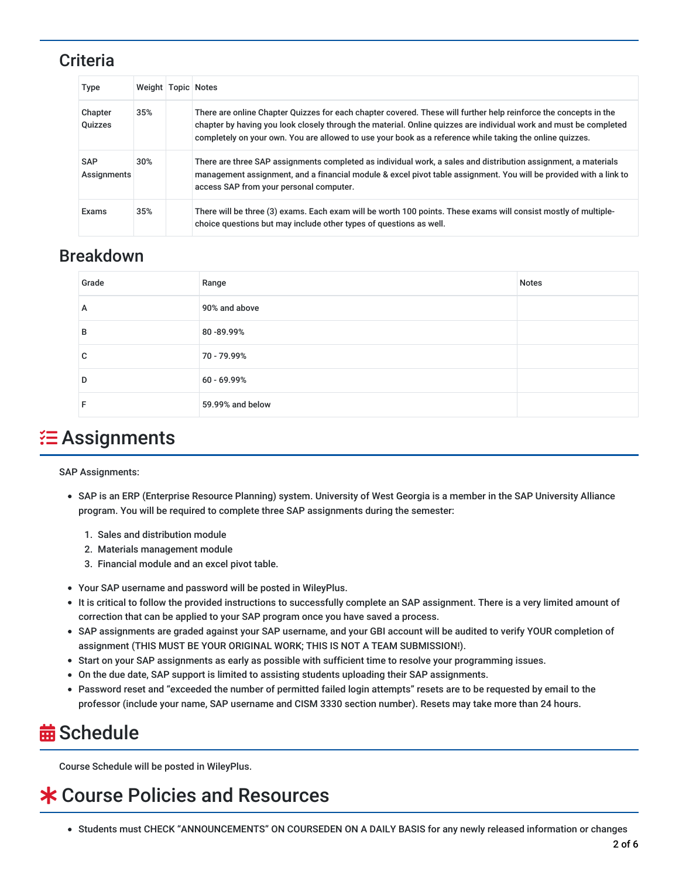### **Criteria**

| Type                      | Weight   Topic   Notes |                                                                                                                                                                                                                                                                                                                                                   |
|---------------------------|------------------------|---------------------------------------------------------------------------------------------------------------------------------------------------------------------------------------------------------------------------------------------------------------------------------------------------------------------------------------------------|
| Chapter<br>Quizzes        | 35%                    | There are online Chapter Quizzes for each chapter covered. These will further help reinforce the concepts in the<br>chapter by having you look closely through the material. Online guizzes are individual work and must be completed<br>completely on your own. You are allowed to use your book as a reference while taking the online quizzes. |
| <b>SAP</b><br>Assignments | 30%                    | There are three SAP assignments completed as individual work, a sales and distribution assignment, a materials<br>management assignment, and a financial module & excel pivot table assignment. You will be provided with a link to<br>access SAP from your personal computer.                                                                    |
| Exams                     | 35%                    | There will be three (3) exams. Each exam will be worth 100 points. These exams will consist mostly of multiple-<br>choice questions but may include other types of questions as well.                                                                                                                                                             |

### Breakdown

| Grade | Range            | <b>Notes</b> |
|-------|------------------|--------------|
| А     | 90% and above    |              |
| в     | 80-89.99%        |              |
| C     | 70 - 79.99%      |              |
| D     | 60 - 69.99%      |              |
| F     | 59.99% and below |              |

# $\Xi$  Assignments

SAP Assignments:

- SAP is an ERP (Enterprise Resource Planning) system. University of West Georgia is a member in the SAP University Alliance program. You will be required to complete three SAP assignments during the semester:
	- 1. Sales and distribution module
	- 2. Materials management module
	- 3. Financial module and an excel pivot table.
- Your SAP username and password will be posted in WileyPlus.
- It is critical to follow the provided instructions to successfully complete an SAP assignment. There is a very limited amount of correction that can be applied to your SAP program once you have saved a process.
- SAP assignments are graded against your SAP username, and your GBI account will be audited to verify YOUR completion of assignment (THIS MUST BE YOUR ORIGINAL WORK; THIS IS NOT A TEAM SUBMISSION!).
- Start on your SAP assignments as early as possible with sufficient time to resolve your programming issues.
- On the due date, SAP support is limited to assisting students uploading their SAP assignments.
- Password reset and "exceeded the number of permitted failed login attempts" resets are to be requested by email to the professor (include your name, SAP username and CISM 3330 section number). Resets may take more than 24 hours.

# **益 Schedule**

Course Schedule will be posted in WileyPlus.

# Course Policies and Resources

Students must CHECK "ANNOUNCEMENTS" ON COURSEDEN ON A DAILY BASIS for any newly released information or changes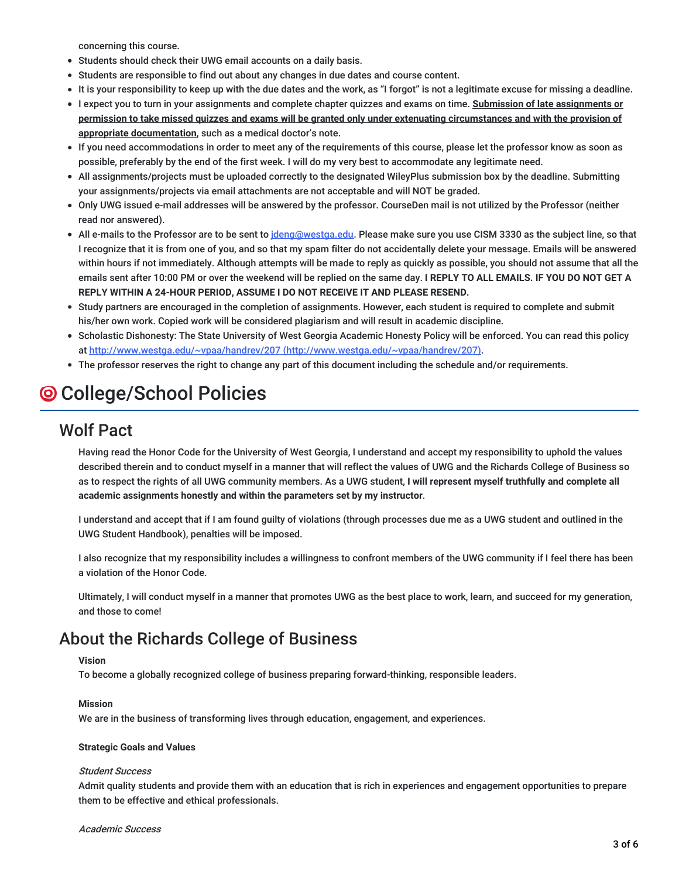concerning this course.

- Students should check their UWG email accounts on a daily basis.
- Students are responsible to find out about any changes in due dates and course content.
- It is your responsibility to keep up with the due dates and the work, as "I forgot" is not a legitimate excuse for missing a deadline.
- I expect you to turn in your assignments and complete chapter quizzes and exams on time. **Submission of late assignments or** permission to take missed quizzes and exams will be granted only under extenuating circumstances and with the provision of **appropriate documentation**, such as a medical doctor's note.
- If you need accommodations in order to meet any of the requirements of this course, please let the professor know as soon as possible, preferably by the end of the first week. I will do my very best to accommodate any legitimate need.
- All assignments/projects must be uploaded correctly to the designated WileyPlus submission box by the deadline. Submitting your assignments/projects via email attachments are not acceptable and will NOT be graded.
- Only UWG issued e-mail addresses will be answered by the professor. CourseDen mail is not utilized by the Professor (neither read nor answered).
- All e-mails to the Professor are to be sent to [jdeng@westga.edu](mailto:jdeng@westga.edu). Please make sure you use CISM 3330 as the subject line, so that I recognize that it is from one of you, and so that my spam filter do not accidentally delete your message. Emails will be answered within hours if not immediately. Although attempts will be made to reply as quickly as possible, you should not assume that all the emails sent after 10:00 PM or over the weekend will be replied on the same day. **I REPLY TO ALL EMAILS. IF YOU DO NOT GET A REPLY WITHIN A 24-HOUR PERIOD, ASSUME I DO NOT RECEIVE IT AND PLEASE RESEND.**
- Study partners are encouraged in the completion of assignments. However, each student is required to complete and submit his/her own work. Copied work will be considered plagiarism and will result in academic discipline.
- Scholastic Dishonesty: The State University of West Georgia Academic Honesty Policy will be enforced. You can read this policy at http://www.westga.edu/~vpaa/handrev/207 [\(http://www.westga.edu/~vpaa/handrev/207\).](http://www.westga.edu/~vpaa/handrev/207)
- The professor reserves the right to change any part of this document including the schedule and/or requirements.

# College/School Policies

### Wolf Pact

Having read the Honor Code for the University of West Georgia, I understand and accept my responsibility to uphold the values described therein and to conduct myself in a manner that will reflect the values of UWG and the Richards College of Business so as to respect the rights of all UWG community members. As a UWG student, **I will represent myself truthfully and complete all academic assignments honestly and within the parameters set by my instructor**.

I understand and accept that if I am found guilty of violations (through processes due me as a UWG student and outlined in the UWG Student Handbook), penalties will be imposed.

I also recognize that my responsibility includes a willingness to confront members of the UWG community if I feel there has been a violation of the Honor Code.

Ultimately, I will conduct myself in a manner that promotes UWG as the best place to work, learn, and succeed for my generation, and those to come!

### About the Richards College of Business

#### **Vision**

To become a globally recognized college of business preparing forward-thinking, responsible leaders.

#### **Mission**

We are in the business of transforming lives through education, engagement, and experiences.

#### **Strategic Goals and Values**

#### Student Success

Admit quality students and provide them with an education that is rich in experiences and engagement opportunities to prepare them to be effective and ethical professionals.

#### Academic Success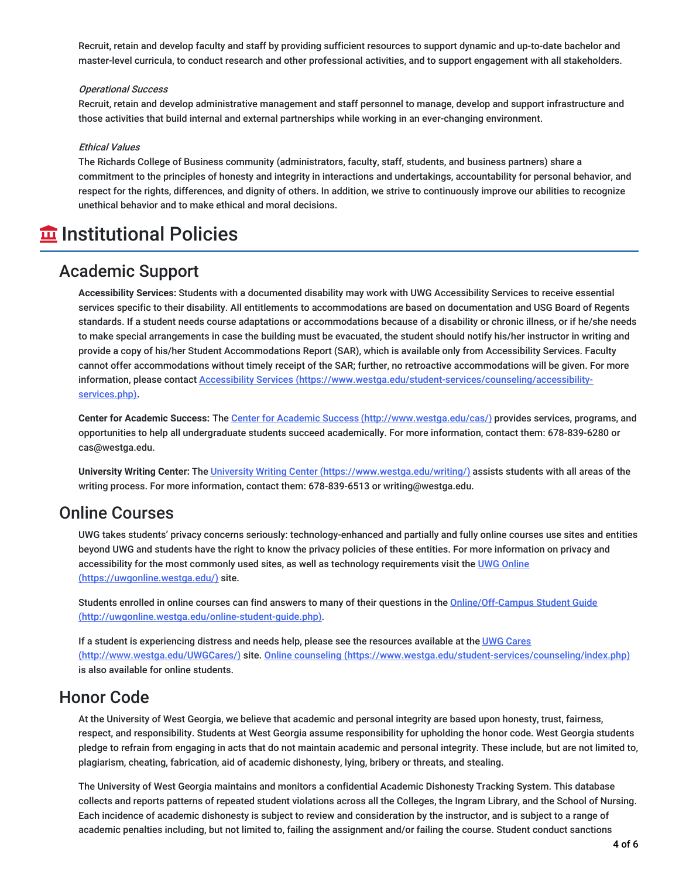Recruit, retain and develop faculty and staff by providing sufficient resources to support dynamic and up-to-date bachelor and master-level curricula, to conduct research and other professional activities, and to support engagement with all stakeholders.

#### Operational Success

Recruit, retain and develop administrative management and staff personnel to manage, develop and support infrastructure and those activities that build internal and external partnerships while working in an ever-changing environment.

#### Ethical Values

The Richards College of Business community (administrators, faculty, staff, students, and business partners) share a commitment to the principles of honesty and integrity in interactions and undertakings, accountability for personal behavior, and respect for the rights, differences, and dignity of others. In addition, we strive to continuously improve our abilities to recognize unethical behavior and to make ethical and moral decisions.

# **Institutional Policies**

### Academic Support

**Accessibility Services:** Students with a documented disability may work with UWG Accessibility Services to receive essential services specific to their disability. All entitlements to accommodations are based on documentation and USG Board of Regents standards. If a student needs course adaptations or accommodations because of a disability or chronic illness, or if he/she needs to make special arrangements in case the building must be evacuated, the student should notify his/her instructor in writing and provide a copy of his/her Student Accommodations Report (SAR), which is available only from Accessibility Services. Faculty cannot offer accommodations without timely receipt of the SAR; further, no retroactive accommodations will be given. For more information, please contact Accessibility Services [\(https://www.westga.edu/student-services/counseling/accessibility](https://www.westga.edu/student-services/counseling/accessibility-services.php)services.php).

**Center for Academic Success:** The Center for Academic Success [\(http://www.westga.edu/cas/\)](http://www.westga.edu/cas/) provides services, programs, and opportunities to help all undergraduate students succeed academically. For more information, contact them: 678-839-6280 or cas@westga.edu.

**University Writing Center:** The University Writing Center [\(https://www.westga.edu/writing/\)](https://www.westga.edu/writing/) assists students with all areas of the writing process. For more information, contact them: 678-839-6513 or writing@westga.edu.

### Online Courses

UWG takes students' privacy concerns seriously: technology-enhanced and partially and fully online courses use sites and entities beyond UWG and students have the right to know the privacy policies of these entities. For more information on privacy and accessibility for the most commonly used sites, as well as technology requirements visit the UWG Online [\(https://uwgonline.westga.edu/\)](https://uwgonline.westga.edu/) site.

Students enrolled in online courses can find answers to many of their questions in the Online/Off-Campus Student Guide [\(http://uwgonline.westga.edu/online-student-guide.php\).](http://uwgonline.westga.edu/online-student-guide.php)

If a student is experiencing distress and needs help, please see the resources available at the UWG Cares (http://www.westga.edu/UWGCares/) site. Online counseling [\(https://www.westga.edu/student-services](http://www.westga.edu/UWGCares/)[/counseling/index.php\)](https://www.westga.edu/student-services/counseling/index.php) is also available for online students.

### Honor Code

At the University of West Georgia, we believe that academic and personal integrity are based upon honesty, trust, fairness, respect, and responsibility. Students at West Georgia assume responsibility for upholding the honor code. West Georgia students pledge to refrain from engaging in acts that do not maintain academic and personal integrity. These include, but are not limited to, plagiarism, cheating, fabrication, aid of academic dishonesty, lying, bribery or threats, and stealing.

The University of West Georgia maintains and monitors a confidential Academic Dishonesty Tracking System. This database collects and reports patterns of repeated student violations across all the Colleges, the Ingram Library, and the School of Nursing. Each incidence of academic dishonesty is subject to review and consideration by the instructor, and is subject to a range of academic penalties including, but not limited to, failing the assignment and/or failing the course. Student conduct sanctions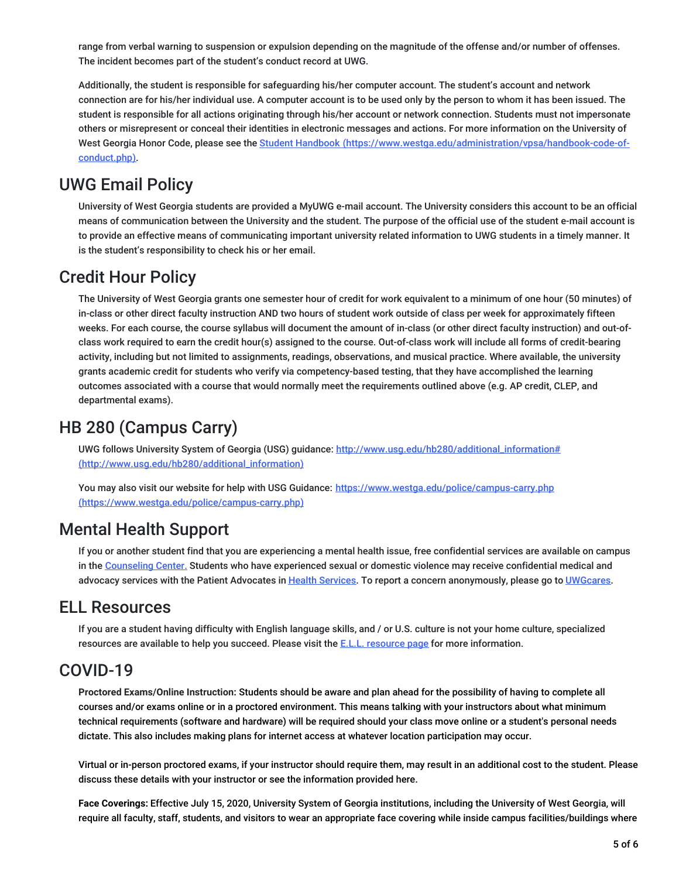range from verbal warning to suspension or expulsion depending on the magnitude of the offense and/or number of offenses. The incident becomes part of the student's conduct record at UWG.

Additionally, the student is responsible for safeguarding his/her computer account. The student's account and network connection are for his/her individual use. A computer account is to be used only by the person to whom it has been issued. The student is responsible for all actions originating through his/her account or network connection. Students must not impersonate others or misrepresent or conceal their identities in electronic messages and actions. For more information on the University of West Georgia Honor Code, please see the Student Handbook [\(https://www.westga.edu/administration/vpsa/handbook-code-of](https://www.westga.edu/administration/vpsa/handbook-code-of-conduct.php)conduct.php).

## UWG Email Policy

University of West Georgia students are provided a MyUWG e-mail account. The University considers this account to be an official means of communication between the University and the student. The purpose of the official use of the student e-mail account is to provide an effective means of communicating important university related information to UWG students in a timely manner. It is the student's responsibility to check his or her email.

### Credit Hour Policy

The University of West Georgia grants one semester hour of credit for work equivalent to a minimum of one hour (50 minutes) of in-class or other direct faculty instruction AND two hours of student work outside of class per week for approximately fifteen weeks. For each course, the course syllabus will document the amount of in-class (or other direct faculty instruction) and out-ofclass work required to earn the credit hour(s) assigned to the course. Out-of-class work will include all forms of credit-bearing activity, including but not limited to assignments, readings, observations, and musical practice. Where available, the university grants academic credit for students who verify via competency-based testing, that they have accomplished the learning outcomes associated with a course that would normally meet the requirements outlined above (e.g. AP credit, CLEP, and departmental exams).

### HB 280 (Campus Carry)

UWG follows University System of Georgia (USG) guidance: http://www.usq.edu/hb280/additional\_information# (http://www.usg.edu/hb280/additional\_information)

You may also visit our website for help with USG Guidance: https://www.westga.edu/police/campus-carry.php [\(https://www.westga.edu/police/campus-carry.php\)](https://www.westga.edu/police/campus-carry.php)

### Mental Health Support

If you or another student find that you are experiencing a mental health issue, free confidential services are available on campus in the [Counseling](https://www.westga.edu/student-services/counseling/) Center. Students who have experienced sexual or domestic violence may receive confidential medical and advocacy services with the Patient Advocates in Health [Services](https://www.westga.edu/student-services/health/). To report a concern anonymously, please go to [UWGcares](https://www.westga.edu/uwgcares/).

### ELL Resources

If you are a student having difficulty with English language skills, and / or U.S. culture is not your home culture, specialized [resource](https://www.westga.edu/academics/isap/ell-resources.php)s are available to help you succeed. Please visit the E.L.L. resource page for more information.

### COVID-19

**Proctored Exams/Online Instruction:** Students should be aware and plan ahead for the possibility of having to complete all courses and/or exams online or in a proctored environment. This means talking with your instructors about what minimum technical requirements (software and hardware) will be required should your class move online or a student's personal needs dictate. This also includes making plans for internet access at whatever location participation may occur.

Virtual or in-person proctored exams, if your instructor should require them, may result in an additional cost to the student. Please discuss these details with your instructor or see the information provided here.

**Face Coverings:** Effective July 15, 2020, University System of Georgia institutions, including the University of West Georgia, will require all faculty, staff, students, and visitors to wear an appropriate face covering while inside campus facilities/buildings where